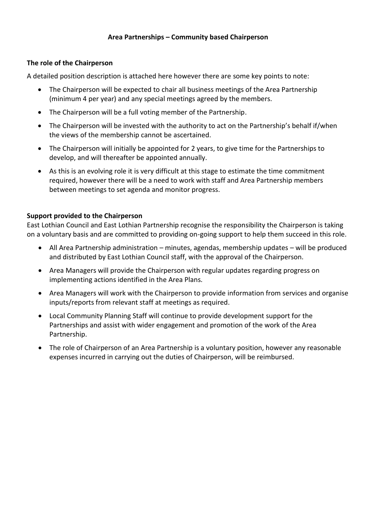## **Area Partnerships – Community based Chairperson**

## **The role of the Chairperson**

A detailed position description is attached here however there are some key points to note:

- The Chairperson will be expected to chair all business meetings of the Area Partnership (minimum 4 per year) and any special meetings agreed by the members.
- The Chairperson will be a full voting member of the Partnership.
- The Chairperson will be invested with the authority to act on the Partnership's behalf if/when the views of the membership cannot be ascertained.
- The Chairperson will initially be appointed for 2 years, to give time for the Partnerships to develop, and will thereafter be appointed annually.
- As this is an evolving role it is very difficult at this stage to estimate the time commitment required, however there will be a need to work with staff and Area Partnership members between meetings to set agenda and monitor progress.

## **Support provided to the Chairperson**

East Lothian Council and East Lothian Partnership recognise the responsibility the Chairperson is taking on a voluntary basis and are committed to providing on-going support to help them succeed in this role.

- All Area Partnership administration minutes, agendas, membership updates will be produced and distributed by East Lothian Council staff, with the approval of the Chairperson.
- Area Managers will provide the Chairperson with regular updates regarding progress on implementing actions identified in the Area Plans.
- Area Managers will work with the Chairperson to provide information from services and organise inputs/reports from relevant staff at meetings as required.
- Local Community Planning Staff will continue to provide development support for the Partnerships and assist with wider engagement and promotion of the work of the Area Partnership.
- The role of Chairperson of an Area Partnership is a voluntary position, however any reasonable expenses incurred in carrying out the duties of Chairperson, will be reimbursed.